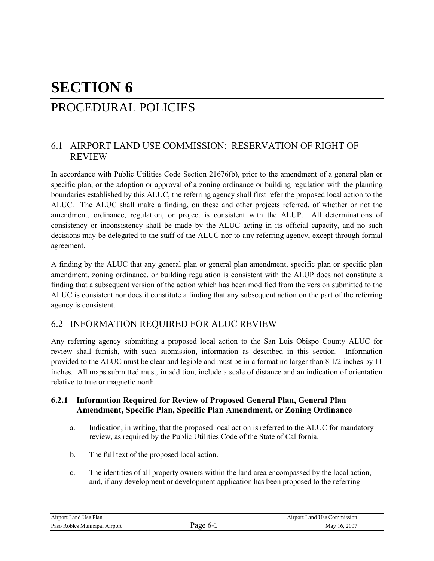# **SECTION 6** PROCEDURAL POLICIES

### 6.1 AIRPORT LAND USE COMMISSION: RESERVATION OF RIGHT OF REVIEW

In accordance with Public Utilities Code Section 21676(b), prior to the amendment of a general plan or specific plan, or the adoption or approval of a zoning ordinance or building regulation with the planning boundaries established by this ALUC, the referring agency shall first refer the proposed local action to the ALUC. The ALUC shall make a finding, on these and other projects referred, of whether or not the amendment, ordinance, regulation, or project is consistent with the ALUP. All determinations of consistency or inconsistency shall be made by the ALUC acting in its official capacity, and no such decisions may be delegated to the staff of the ALUC nor to any referring agency, except through formal agreement.

A finding by the ALUC that any general plan or general plan amendment, specific plan or specific plan amendment, zoning ordinance, or building regulation is consistent with the ALUP does not constitute a finding that a subsequent version of the action which has been modified from the version submitted to the ALUC is consistent nor does it constitute a finding that any subsequent action on the part of the referring agency is consistent.

## 6.2 INFORMATION REQUIRED FOR ALUC REVIEW

Any referring agency submitting a proposed local action to the San Luis Obispo County ALUC for review shall furnish, with such submission, information as described in this section. Information provided to the ALUC must be clear and legible and must be in a format no larger than 8 1/2 inches by 11 inches. All maps submitted must, in addition, include a scale of distance and an indication of orientation relative to true or magnetic north.

#### **6.2.1 Information Required for Review of Proposed General Plan, General Plan Amendment, Specific Plan, Specific Plan Amendment, or Zoning Ordinance**

- a. Indication, in writing, that the proposed local action is referred to the ALUC for mandatory review, as required by the Public Utilities Code of the State of California.
- b. The full text of the proposed local action.
- c. The identities of all property owners within the land area encompassed by the local action, and, if any development or development application has been proposed to the referring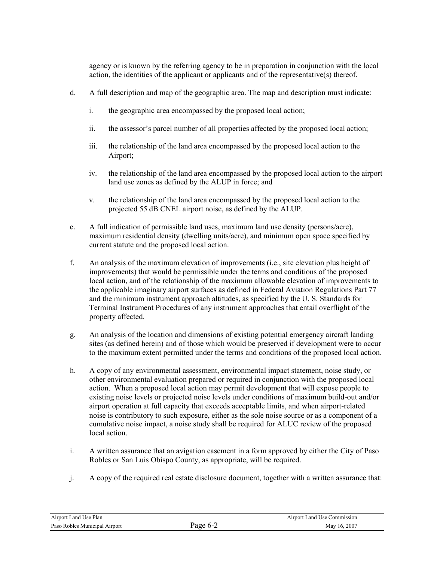agency or is known by the referring agency to be in preparation in conjunction with the local action, the identities of the applicant or applicants and of the representative(s) thereof.

- d. A full description and map of the geographic area. The map and description must indicate:
	- i. the geographic area encompassed by the proposed local action;
	- ii. the assessor's parcel number of all properties affected by the proposed local action;
	- iii. the relationship of the land area encompassed by the proposed local action to the Airport;
	- iv. the relationship of the land area encompassed by the proposed local action to the airport land use zones as defined by the ALUP in force; and
	- v. the relationship of the land area encompassed by the proposed local action to the projected 55 dB CNEL airport noise, as defined by the ALUP.
- e. A full indication of permissible land uses, maximum land use density (persons/acre), maximum residential density (dwelling units/acre), and minimum open space specified by current statute and the proposed local action.
- f. An analysis of the maximum elevation of improvements (i.e., site elevation plus height of improvements) that would be permissible under the terms and conditions of the proposed local action, and of the relationship of the maximum allowable elevation of improvements to the applicable imaginary airport surfaces as defined in Federal Aviation Regulations Part 77 and the minimum instrument approach altitudes, as specified by the U. S. Standards for Terminal Instrument Procedures of any instrument approaches that entail overflight of the property affected.
- g. An analysis of the location and dimensions of existing potential emergency aircraft landing sites (as defined herein) and of those which would be preserved if development were to occur to the maximum extent permitted under the terms and conditions of the proposed local action.
- h. A copy of any environmental assessment, environmental impact statement, noise study, or other environmental evaluation prepared or required in conjunction with the proposed local action. When a proposed local action may permit development that will expose people to existing noise levels or projected noise levels under conditions of maximum build-out and/or airport operation at full capacity that exceeds acceptable limits, and when airport-related noise is contributory to such exposure, either as the sole noise source or as a component of a cumulative noise impact, a noise study shall be required for ALUC review of the proposed local action.
- i. A written assurance that an avigation easement in a form approved by either the City of Paso Robles or San Luis Obispo County, as appropriate, will be required.
- j. A copy of the required real estate disclosure document, together with a written assurance that:

| Airport Land Use Plan         |         | Airport Land Use Commission |
|-------------------------------|---------|-----------------------------|
| Paso Robles Municipal Airport | age 6-2 | May 16, 2007                |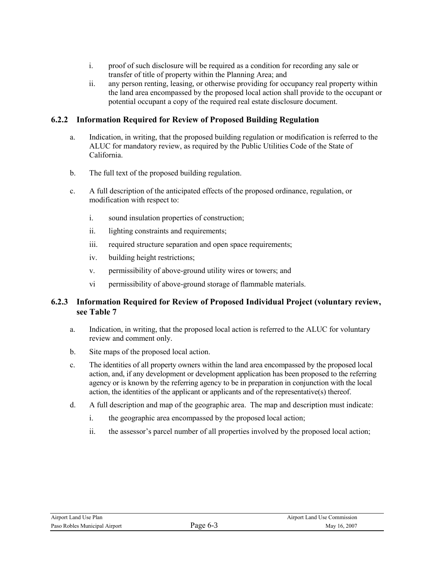- i. proof of such disclosure will be required as a condition for recording any sale or transfer of title of property within the Planning Area; and
- ii. any person renting, leasing, or otherwise providing for occupancy real property within the land area encompassed by the proposed local action shall provide to the occupant or potential occupant a copy of the required real estate disclosure document.

#### **6.2.2 Information Required for Review of Proposed Building Regulation**

- a. Indication, in writing, that the proposed building regulation or modification is referred to the ALUC for mandatory review, as required by the Public Utilities Code of the State of California.
- b. The full text of the proposed building regulation.
- c. A full description of the anticipated effects of the proposed ordinance, regulation, or modification with respect to:
	- i. sound insulation properties of construction;
	- ii. lighting constraints and requirements;
	- iii. required structure separation and open space requirements;
	- iv. building height restrictions;
	- v. permissibility of above-ground utility wires or towers; and
	- vi permissibility of above-ground storage of flammable materials.

#### **6.2.3 Information Required for Review of Proposed Individual Project (voluntary review, see Table 7**

- a. Indication, in writing, that the proposed local action is referred to the ALUC for voluntary review and comment only.
- b. Site maps of the proposed local action.
- c. The identities of all property owners within the land area encompassed by the proposed local action, and, if any development or development application has been proposed to the referring agency or is known by the referring agency to be in preparation in conjunction with the local action, the identities of the applicant or applicants and of the representative(s) thereof.
- d. A full description and map of the geographic area. The map and description must indicate:
	- i. the geographic area encompassed by the proposed local action;
	- ii. the assessor's parcel number of all properties involved by the proposed local action;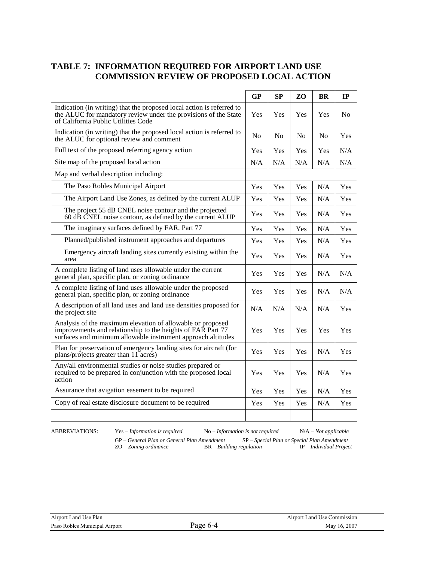#### **TABLE 7: INFORMATION REQUIRED FOR AIRPORT LAND USE COMMISSION REVIEW OF PROPOSED LOCAL ACTION**

|                                                                                                                                                                                           | <b>GP</b>      | SP             | Z <sub>O</sub> | <b>BR</b>      | IP             |
|-------------------------------------------------------------------------------------------------------------------------------------------------------------------------------------------|----------------|----------------|----------------|----------------|----------------|
| Indication (in writing) that the proposed local action is referred to<br>the ALUC for mandatory review under the provisions of the State<br>of California Public Utilities Code           | Yes            | Yes            | Yes            | Yes            | N <sub>0</sub> |
| Indication (in writing) that the proposed local action is referred to<br>the ALUC for optional review and comment                                                                         | N <sub>0</sub> | N <sub>0</sub> | N <sub>0</sub> | N <sub>0</sub> | Yes            |
| Full text of the proposed referring agency action                                                                                                                                         | Yes            | Yes            | Yes            | Yes            | N/A            |
| Site map of the proposed local action                                                                                                                                                     |                | N/A            | N/A            | N/A            | N/A            |
| Map and verbal description including:                                                                                                                                                     |                |                |                |                |                |
| The Paso Robles Municipal Airport                                                                                                                                                         | Yes            | Yes            | Yes            | N/A            | Yes            |
| The Airport Land Use Zones, as defined by the current ALUP                                                                                                                                | Yes            | Yes            | Yes            | N/A            | Yes            |
| The project 55 dB CNEL noise contour and the projected<br>60 dB CNEL noise contour, as defined by the current ALUP                                                                        | Yes            | Yes            | <b>Yes</b>     | N/A            | Yes            |
| The imaginary surfaces defined by FAR, Part 77                                                                                                                                            | Yes            | Yes            | Yes            | N/A            | Yes            |
| Planned/published instrument approaches and departures                                                                                                                                    | Yes            | Yes            | Yes            | N/A            | Yes            |
| Emergency aircraft landing sites currently existing within the<br>area                                                                                                                    | Yes            | Yes            | Yes            | N/A            | Yes            |
| A complete listing of land uses allowable under the current<br>general plan, specific plan, or zoning ordinance                                                                           | Yes            | <b>Yes</b>     | Yes            | N/A            | N/A            |
| A complete listing of land uses allowable under the proposed<br>general plan, specific plan, or zoning ordinance                                                                          | Yes            | Yes            | Yes            | N/A            | N/A            |
| A description of all land uses and land use densities proposed for<br>the project site                                                                                                    | N/A            | N/A            | N/A            | N/A            | Yes            |
| Analysis of the maximum elevation of allowable or proposed<br>improvements and relationship to the heights of FAR Part 77<br>surfaces and minimum allowable instrument approach altitudes | Yes            | Yes            | Yes            | Yes            | Yes            |
| Plan for preservation of emergency landing sites for aircraft (for<br>plans/projects greater than 11 acres)                                                                               | Yes            | Yes            | Yes            | N/A            | Yes            |
| Any/all environmental studies or noise studies prepared or<br>required to be prepared in conjunction with the proposed local<br>action                                                    |                | Yes            | Yes            | N/A            | Yes            |
| Assurance that avigation easement to be required                                                                                                                                          | Yes            | Yes            | Yes            | N/A            | Yes            |
| Copy of real estate disclosure document to be required                                                                                                                                    | Yes            | Yes            | Yes            | N/A            | Yes            |
|                                                                                                                                                                                           |                |                |                |                |                |

ABBREVIATIONS: Yes – *Information is required* No – *Information is not required* N/A – *Not applicable* 

GP – *General Plan or General Plan Amendment* SP – *Special Plan or Special Plan Amendment* ZO – *Zoning ordinance* BR – *Building regulation* IP – *Individual Project*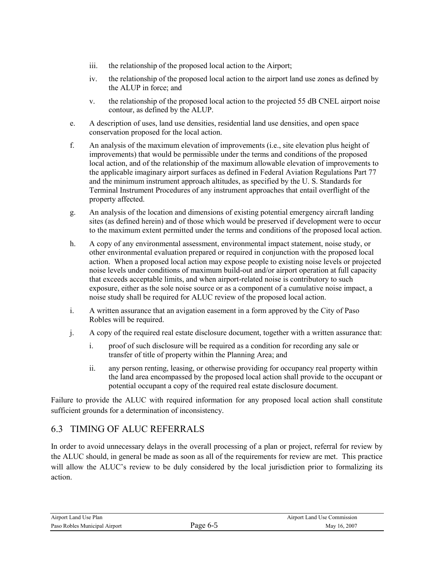- iii. the relationship of the proposed local action to the Airport;
- iv. the relationship of the proposed local action to the airport land use zones as defined by the ALUP in force; and
- v. the relationship of the proposed local action to the projected 55 dB CNEL airport noise contour, as defined by the ALUP.
- e. A description of uses, land use densities, residential land use densities, and open space conservation proposed for the local action.
- f. An analysis of the maximum elevation of improvements (i.e., site elevation plus height of improvements) that would be permissible under the terms and conditions of the proposed local action, and of the relationship of the maximum allowable elevation of improvements to the applicable imaginary airport surfaces as defined in Federal Aviation Regulations Part 77 and the minimum instrument approach altitudes, as specified by the U. S. Standards for Terminal Instrument Procedures of any instrument approaches that entail overflight of the property affected.
- g. An analysis of the location and dimensions of existing potential emergency aircraft landing sites (as defined herein) and of those which would be preserved if development were to occur to the maximum extent permitted under the terms and conditions of the proposed local action.
- h. A copy of any environmental assessment, environmental impact statement, noise study, or other environmental evaluation prepared or required in conjunction with the proposed local action. When a proposed local action may expose people to existing noise levels or projected noise levels under conditions of maximum build-out and/or airport operation at full capacity that exceeds acceptable limits, and when airport-related noise is contributory to such exposure, either as the sole noise source or as a component of a cumulative noise impact, a noise study shall be required for ALUC review of the proposed local action.
- i. A written assurance that an avigation easement in a form approved by the City of Paso Robles will be required.
- j. A copy of the required real estate disclosure document, together with a written assurance that:
	- i. proof of such disclosure will be required as a condition for recording any sale or transfer of title of property within the Planning Area; and
	- ii. any person renting, leasing, or otherwise providing for occupancy real property within the land area encompassed by the proposed local action shall provide to the occupant or potential occupant a copy of the required real estate disclosure document.

Failure to provide the ALUC with required information for any proposed local action shall constitute sufficient grounds for a determination of inconsistency.

## 6.3 TIMING OF ALUC REFERRALS

In order to avoid unnecessary delays in the overall processing of a plan or project, referral for review by the ALUC should, in general be made as soon as all of the requirements for review are met. This practice will allow the ALUC's review to be duly considered by the local jurisdiction prior to formalizing its action.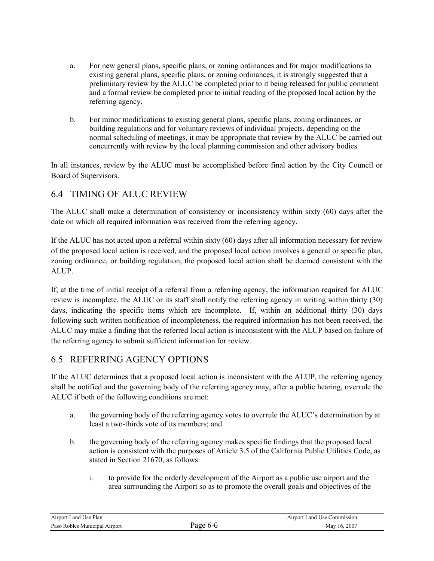- a. For new general plans, specific plans, or zoning ordinances and for major modifications to existing general plans, specific plans, or zoning ordinances, it is strongly suggested that a preliminary review by the ALUC be completed prior to it being released for public comment and a formal review be completed prior to initial reading of the proposed local action by the referring agency.
- b. For minor modifications to existing general plans, specific plans, zoning ordinances, or building regulations and for voluntary reviews of individual projects, depending on the normal scheduling of meetings, it may be appropriate that review by the ALUC be carried out concurrently with review by the local planning commission and other advisory bodies.

In all instances, review by the ALUC must be accomplished before final action by the City Council or Board of Supervisors.

## 6.4 TIMING OF ALUC REVIEW

The ALUC shall make a determination of consistency or inconsistency within sixty (60) days after the date on which all required information was received from the referring agency.

If the ALUC has not acted upon a referral within sixty (60) days after all information necessary for review of the proposed local action is received, and the proposed local action involves a general or specific plan, zoning ordinance, or building regulation, the proposed local action shall be deemed consistent with the ALUP.

If, at the time of initial receipt of a referral from a referring agency, the information required for ALUC review is incomplete, the ALUC or its staff shall notify the referring agency in writing within thirty (30) days, indicating the specific items which are incomplete. If, within an additional thirty (30) days following such written notification of incompleteness, the required information has not been received, the ALUC may make a finding that the referred local action is inconsistent with the ALUP based on failure of the referring agency to submit sufficient information for review.

## 6.5 REFERRING AGENCY OPTIONS

If the ALUC determines that a proposed local action is inconsistent with the ALUP, the referring agency shall be notified and the governing body of the referring agency may, after a public hearing, overrule the ALUC if both of the following conditions are met:

- a. the governing body of the referring agency votes to overrule the ALUC's determination by at least a two-thirds vote of its members; and
- b. the governing body of the referring agency makes specific findings that the proposed local action is consistent with the purposes of Article 3.5 of the California Public Utilities Code, as stated in Section 21670, as follows:
	- i. to provide for the orderly development of the Airport as a public use airport and the area surrounding the Airport so as to promote the overall goals and objectives of the

| Airport Land Use Plan         |          | Airport Land Use Commission |
|-------------------------------|----------|-----------------------------|
| Paso Robles Municipal Airport | Page 6-6 | May 16, 2007                |